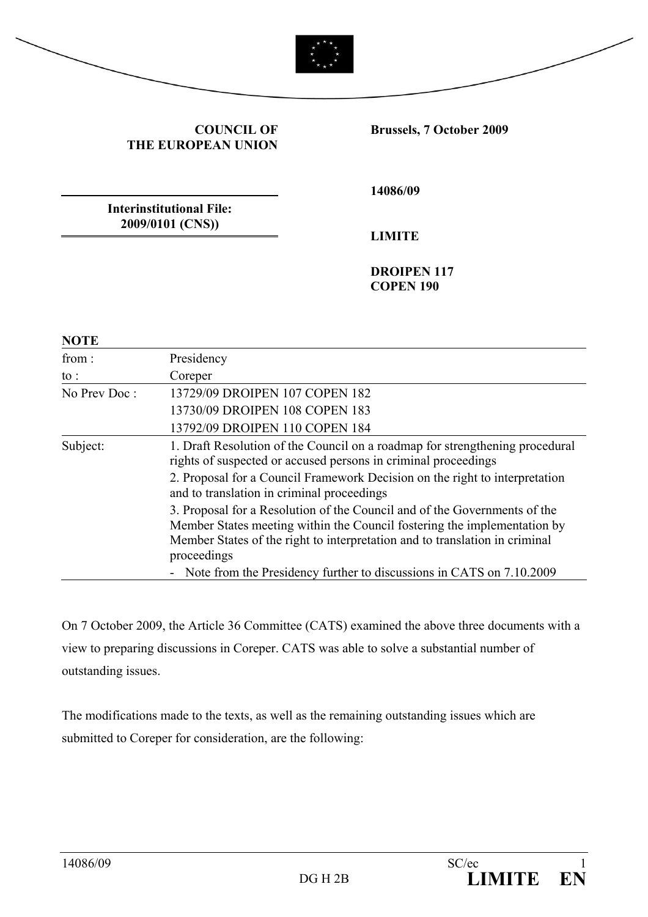

#### **COUNCIL OF THE EUROPEAN UNION**

**Brussels, 7 October 2009** 

**Interinstitutional File: 2009/0101 (CNS))** 

**14086/09** 

**LIMITE** 

**DROIPEN 117 COPEN 190** 

| <b>NOTE</b>     |                                                                                                                                                                                                                                                     |
|-----------------|-----------------------------------------------------------------------------------------------------------------------------------------------------------------------------------------------------------------------------------------------------|
| from:           | Presidency                                                                                                                                                                                                                                          |
| $\mathrm{to}$ : | Coreper                                                                                                                                                                                                                                             |
| No Prev Doc:    | 13729/09 DROIPEN 107 COPEN 182                                                                                                                                                                                                                      |
|                 | 13730/09 DROIPEN 108 COPEN 183                                                                                                                                                                                                                      |
|                 | 13792/09 DROIPEN 110 COPEN 184                                                                                                                                                                                                                      |
| Subject:        | 1. Draft Resolution of the Council on a roadmap for strengthening procedural<br>rights of suspected or accused persons in criminal proceedings                                                                                                      |
|                 | 2. Proposal for a Council Framework Decision on the right to interpretation<br>and to translation in criminal proceedings                                                                                                                           |
|                 | 3. Proposal for a Resolution of the Council and of the Governments of the<br>Member States meeting within the Council fostering the implementation by<br>Member States of the right to interpretation and to translation in criminal<br>proceedings |
|                 | - Note from the Presidency further to discussions in CATS on 7.10.2009                                                                                                                                                                              |

On 7 October 2009, the Article 36 Committee (CATS) examined the above three documents with a view to preparing discussions in Coreper. CATS was able to solve a substantial number of outstanding issues.

The modifications made to the texts, as well as the remaining outstanding issues which are submitted to Coreper for consideration, are the following: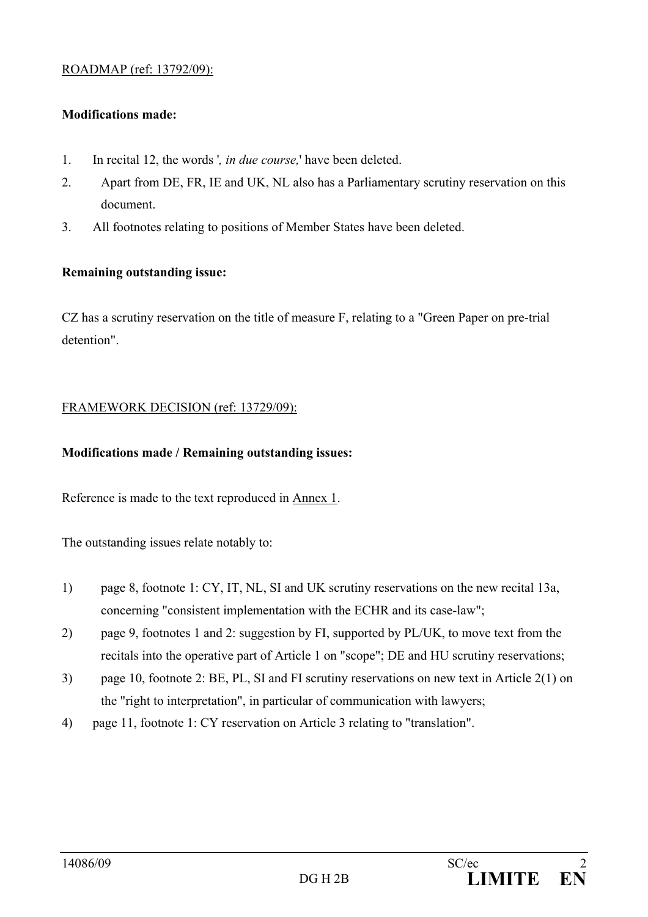#### ROADMAP (ref: 13792/09):

#### **Modifications made:**

- 1. In recital 12, the words '*, in due course,*' have been deleted.
- 2. Apart from DE, FR, IE and UK, NL also has a Parliamentary scrutiny reservation on this document.
- 3. All footnotes relating to positions of Member States have been deleted.

#### **Remaining outstanding issue:**

CZ has a scrutiny reservation on the title of measure F, relating to a "Green Paper on pre-trial detention".

#### FRAMEWORK DECISION (ref: 13729/09):

#### **Modifications made / Remaining outstanding issues:**

Reference is made to the text reproduced in Annex 1.

The outstanding issues relate notably to:

- 1) page 8, footnote 1: CY, IT, NL, SI and UK scrutiny reservations on the new recital 13a, concerning "consistent implementation with the ECHR and its case-law";
- 2) page 9, footnotes 1 and 2: suggestion by FI, supported by PL/UK, to move text from the recitals into the operative part of Article 1 on "scope"; DE and HU scrutiny reservations;
- 3) page 10, footnote 2: BE, PL, SI and FI scrutiny reservations on new text in Article 2(1) on the "right to interpretation", in particular of communication with lawyers;
- 4) page 11, footnote 1: CY reservation on Article 3 relating to "translation".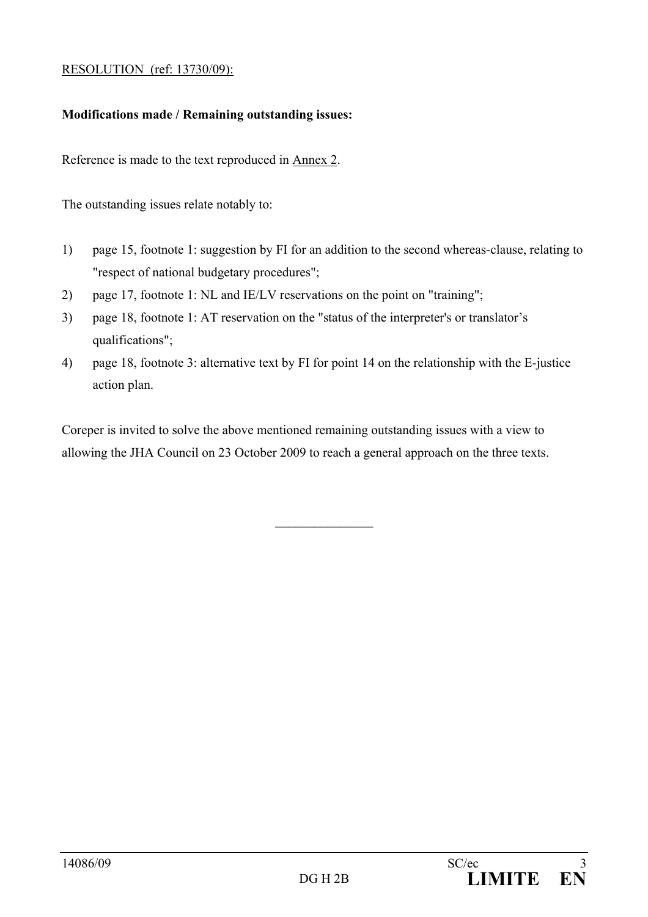#### RESOLUTION (ref: 13730/09):

#### **Modifications made / Remaining outstanding issues:**

Reference is made to the text reproduced in Annex 2.

The outstanding issues relate notably to:

- 1) page 15, footnote 1: suggestion by FI for an addition to the second whereas-clause, relating to "respect of national budgetary procedures";
- 2) page 17, footnote 1: NL and IE/LV reservations on the point on "training";
- 3) page 18, footnote 1: AT reservation on the "status of the interpreter's or translator's qualifications";
- 4) page 18, footnote 3: alternative text by FI for point 14 on the relationship with the E-justice action plan.

Coreper is invited to solve the above mentioned remaining outstanding issues with a view to allowing the JHA Council on 23 October 2009 to reach a general approach on the three texts.

 $\frac{1}{2}$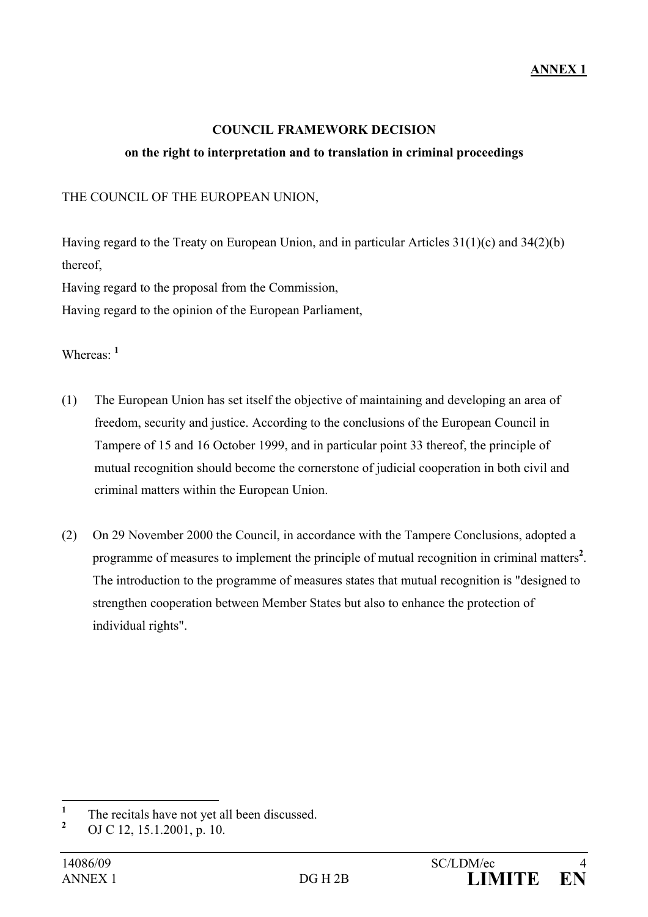#### **COUNCIL FRAMEWORK DECISION**

#### **on the right to interpretation and to translation in criminal proceedings**

THE COUNCIL OF THE EUROPEAN UNION,

Having regard to the Treaty on European Union, and in particular Articles 31(1)(c) and 34(2)(b) thereof,

Having regard to the proposal from the Commission,

Having regard to the opinion of the European Parliament,

Whereas: **<sup>1</sup>**

- (1) The European Union has set itself the objective of maintaining and developing an area of freedom, security and justice. According to the conclusions of the European Council in Tampere of 15 and 16 October 1999, and in particular point 33 thereof, the principle of mutual recognition should become the cornerstone of judicial cooperation in both civil and criminal matters within the European Union.
- (2) On 29 November 2000 the Council, in accordance with the Tampere Conclusions, adopted a programme of measures to implement the principle of mutual recognition in criminal matters<sup>2</sup>. The introduction to the programme of measures states that mutual recognition is "designed to strengthen cooperation between Member States but also to enhance the protection of individual rights".

 **1** The recitals have not yet all been discussed.

**<sup>2</sup>** OJ C 12, 15.1.2001, p. 10.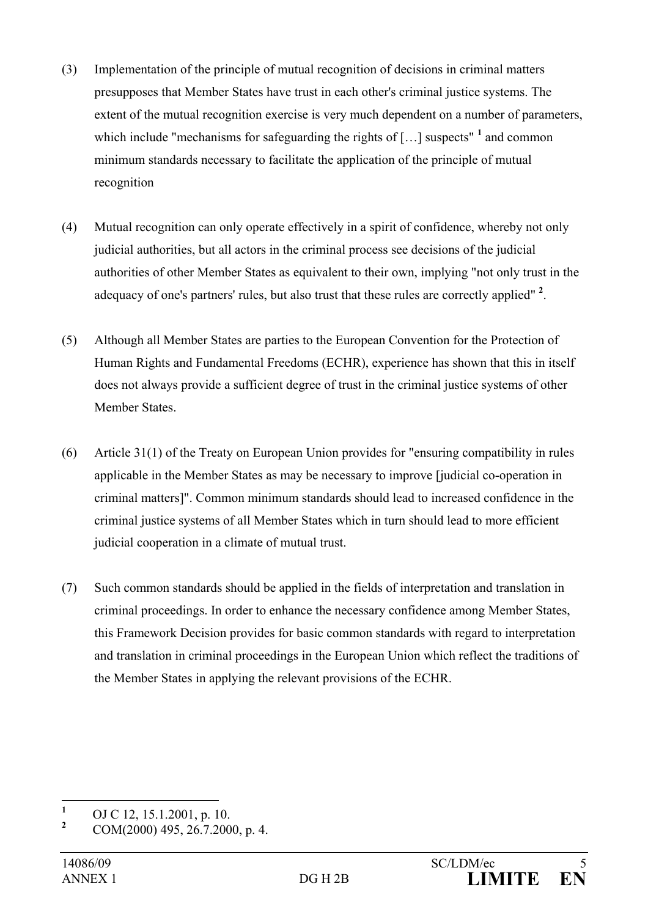- (3) Implementation of the principle of mutual recognition of decisions in criminal matters presupposes that Member States have trust in each other's criminal justice systems. The extent of the mutual recognition exercise is very much dependent on a number of parameters, which include "mechanisms for safeguarding the rights of  $\left[\ldots\right]$  suspects" <sup>1</sup> and common minimum standards necessary to facilitate the application of the principle of mutual recognition
- (4) Mutual recognition can only operate effectively in a spirit of confidence, whereby not only judicial authorities, but all actors in the criminal process see decisions of the judicial authorities of other Member States as equivalent to their own, implying "not only trust in the adequacy of one's partners' rules, but also trust that these rules are correctly applied" **<sup>2</sup>** .
- (5) Although all Member States are parties to the European Convention for the Protection of Human Rights and Fundamental Freedoms (ECHR), experience has shown that this in itself does not always provide a sufficient degree of trust in the criminal justice systems of other Member States.
- (6) Article 31(1) of the Treaty on European Union provides for "ensuring compatibility in rules applicable in the Member States as may be necessary to improve [judicial co-operation in criminal matters]". Common minimum standards should lead to increased confidence in the criminal justice systems of all Member States which in turn should lead to more efficient judicial cooperation in a climate of mutual trust.
- (7) Such common standards should be applied in the fields of interpretation and translation in criminal proceedings. In order to enhance the necessary confidence among Member States, this Framework Decision provides for basic common standards with regard to interpretation and translation in criminal proceedings in the European Union which reflect the traditions of the Member States in applying the relevant provisions of the ECHR.

 **1** OJ C 12, 15.1.2001, p. 10.

**<sup>2</sup>** COM(2000) 495, 26.7.2000, p. 4.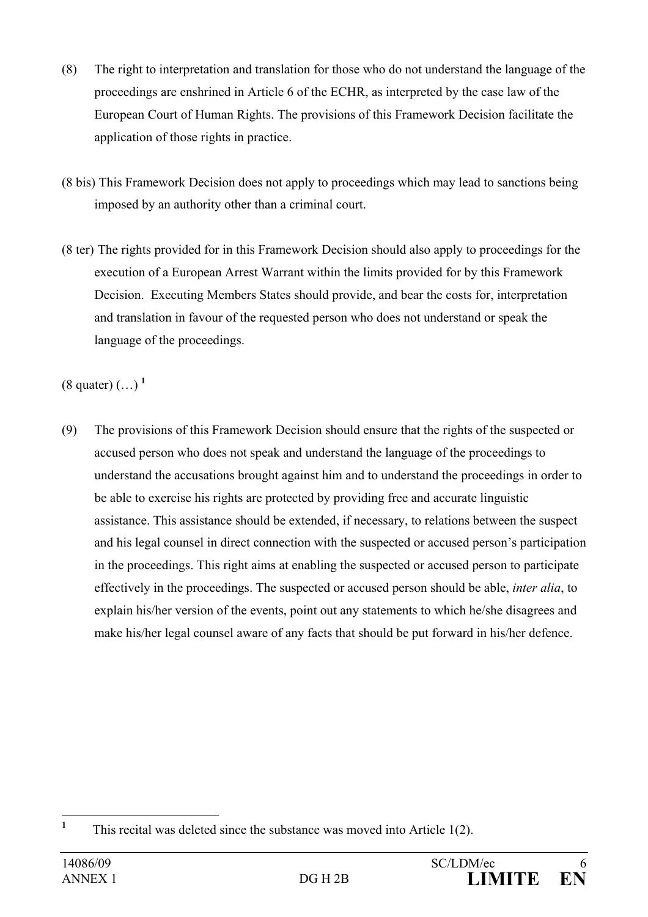- (8) The right to interpretation and translation for those who do not understand the language of the proceedings are enshrined in Article 6 of the ECHR, as interpreted by the case law of the European Court of Human Rights. The provisions of this Framework Decision facilitate the application of those rights in practice.
- (8 bis) This Framework Decision does not apply to proceedings which may lead to sanctions being imposed by an authority other than a criminal court.
- (8 ter) The rights provided for in this Framework Decision should also apply to proceedings for the execution of a European Arrest Warrant within the limits provided for by this Framework Decision. Executing Members States should provide, and bear the costs for, interpretation and translation in favour of the requested person who does not understand or speak the language of the proceedings.

(8 quater) (…) **<sup>1</sup>**

(9) The provisions of this Framework Decision should ensure that the rights of the suspected or accused person who does not speak and understand the language of the proceedings to understand the accusations brought against him and to understand the proceedings in order to be able to exercise his rights are protected by providing free and accurate linguistic assistance. This assistance should be extended, if necessary, to relations between the suspect and his legal counsel in direct connection with the suspected or accused person's participation in the proceedings. This right aims at enabling the suspected or accused person to participate effectively in the proceedings. The suspected or accused person should be able, *inter alia*, to explain his/her version of the events, point out any statements to which he/she disagrees and make his/her legal counsel aware of any facts that should be put forward in his/her defence.

 **1** This recital was deleted since the substance was moved into Article 1(2).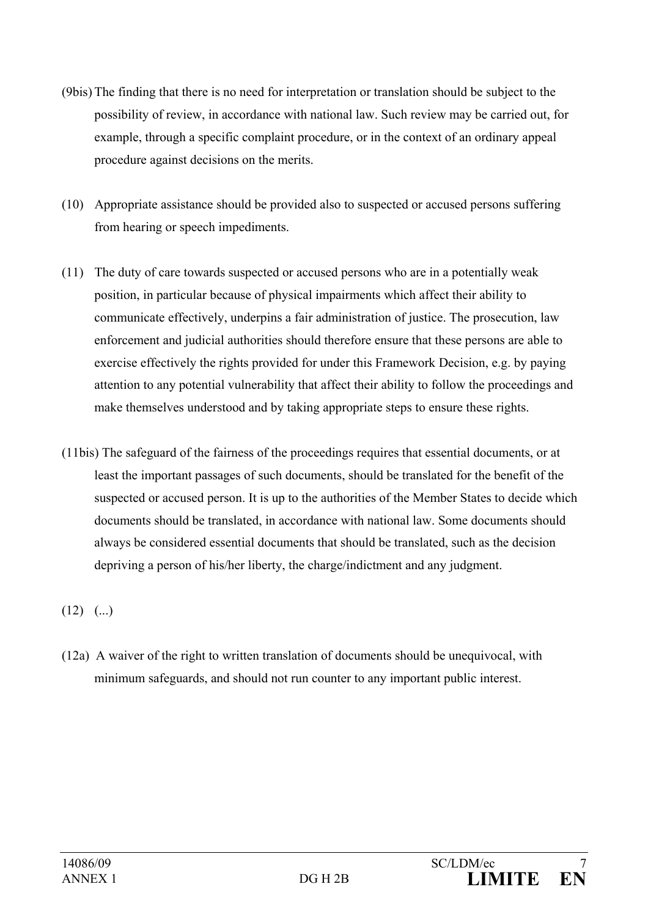- (9bis) The finding that there is no need for interpretation or translation should be subject to the possibility of review, in accordance with national law. Such review may be carried out, for example, through a specific complaint procedure, or in the context of an ordinary appeal procedure against decisions on the merits.
- (10) Appropriate assistance should be provided also to suspected or accused persons suffering from hearing or speech impediments.
- (11) The duty of care towards suspected or accused persons who are in a potentially weak position, in particular because of physical impairments which affect their ability to communicate effectively, underpins a fair administration of justice. The prosecution, law enforcement and judicial authorities should therefore ensure that these persons are able to exercise effectively the rights provided for under this Framework Decision, e.g. by paying attention to any potential vulnerability that affect their ability to follow the proceedings and make themselves understood and by taking appropriate steps to ensure these rights.
- (11bis) The safeguard of the fairness of the proceedings requires that essential documents, or at least the important passages of such documents, should be translated for the benefit of the suspected or accused person. It is up to the authorities of the Member States to decide which documents should be translated, in accordance with national law. Some documents should always be considered essential documents that should be translated, such as the decision depriving a person of his/her liberty, the charge/indictment and any judgment.

 $(12)$   $($ ...)

(12a) A waiver of the right to written translation of documents should be unequivocal, with minimum safeguards, and should not run counter to any important public interest.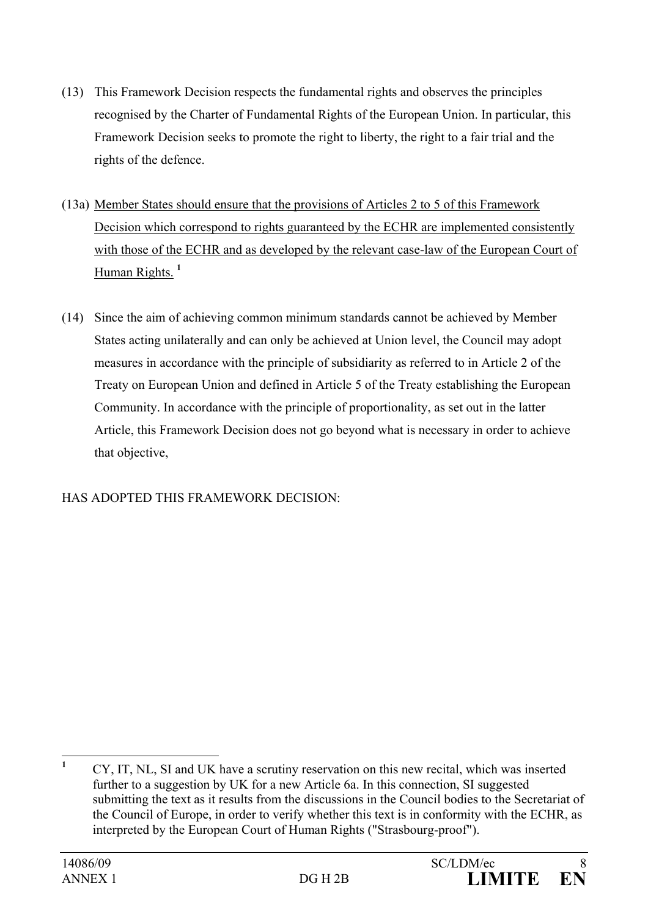- (13) This Framework Decision respects the fundamental rights and observes the principles recognised by the Charter of Fundamental Rights of the European Union. In particular, this Framework Decision seeks to promote the right to liberty, the right to a fair trial and the rights of the defence.
- (13a) Member States should ensure that the provisions of Articles 2 to 5 of this Framework Decision which correspond to rights guaranteed by the ECHR are implemented consistently with those of the ECHR and as developed by the relevant case-law of the European Court of Human Rights. **<sup>1</sup>**
- (14) Since the aim of achieving common minimum standards cannot be achieved by Member States acting unilaterally and can only be achieved at Union level, the Council may adopt measures in accordance with the principle of subsidiarity as referred to in Article 2 of the Treaty on European Union and defined in Article 5 of the Treaty establishing the European Community. In accordance with the principle of proportionality, as set out in the latter Article, this Framework Decision does not go beyond what is necessary in order to achieve that objective,

# HAS ADOPTED THIS FRAMEWORK DECISION:

 **1** CY, IT, NL, SI and UK have a scrutiny reservation on this new recital, which was inserted further to a suggestion by UK for a new Article 6a. In this connection, SI suggested submitting the text as it results from the discussions in the Council bodies to the Secretariat of the Council of Europe, in order to verify whether this text is in conformity with the ECHR, as interpreted by the European Court of Human Rights ("Strasbourg-proof").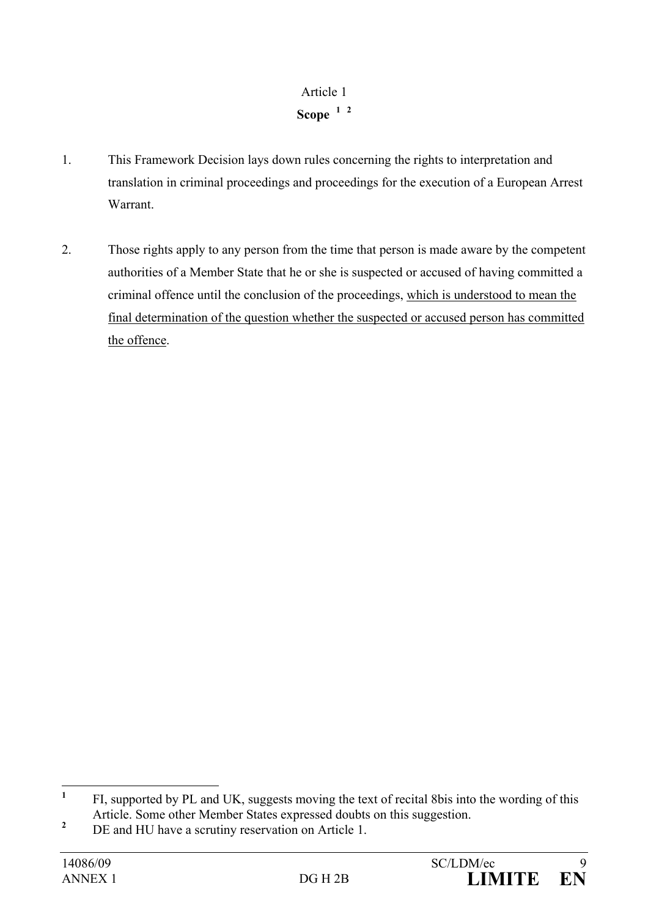# Article 1 **Scope <sup>1</sup> 2**

- 1. This Framework Decision lays down rules concerning the rights to interpretation and translation in criminal proceedings and proceedings for the execution of a European Arrest Warrant.
- 2. Those rights apply to any person from the time that person is made aware by the competent authorities of a Member State that he or she is suspected or accused of having committed a criminal offence until the conclusion of the proceedings, which is understood to mean the final determination of the question whether the suspected or accused person has committed the offence.

 **1** FI, supported by PL and UK, suggests moving the text of recital 8bis into the wording of this Article. Some other Member States expressed doubts on this suggestion.

**<sup>2</sup>** DE and HU have a scrutiny reservation on Article 1.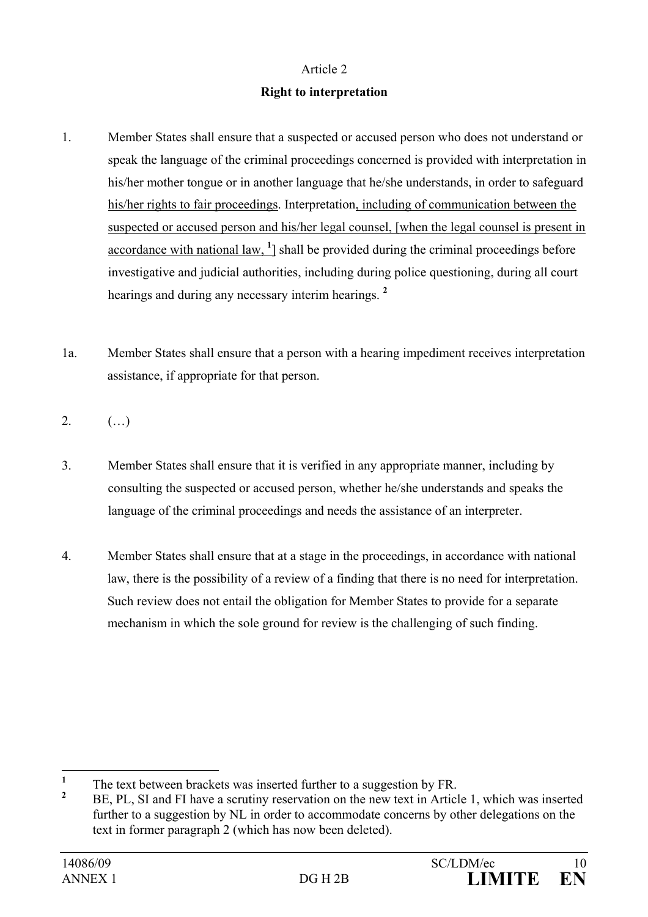#### **Right to interpretation**

- 1. Member States shall ensure that a suspected or accused person who does not understand or speak the language of the criminal proceedings concerned is provided with interpretation in his/her mother tongue or in another language that he/she understands, in order to safeguard his/her rights to fair proceedings. Interpretation, including of communication between the suspected or accused person and his/her legal counsel, [when the legal counsel is present in accordance with national law, <sup>1</sup>] shall be provided during the criminal proceedings before investigative and judicial authorities, including during police questioning, during all court hearings and during any necessary interim hearings. **<sup>2</sup>**
- 1a. Member States shall ensure that a person with a hearing impediment receives interpretation assistance, if appropriate for that person.
- 2.  $( ...)$
- 3. Member States shall ensure that it is verified in any appropriate manner, including by consulting the suspected or accused person, whether he/she understands and speaks the language of the criminal proceedings and needs the assistance of an interpreter.
- 4. Member States shall ensure that at a stage in the proceedings, in accordance with national law, there is the possibility of a review of a finding that there is no need for interpretation. Such review does not entail the obligation for Member States to provide for a separate mechanism in which the sole ground for review is the challenging of such finding.

 **1** The text between brackets was inserted further to a suggestion by FR.

**<sup>2</sup>** BE, PL, SI and FI have a scrutiny reservation on the new text in Article 1, which was inserted further to a suggestion by NL in order to accommodate concerns by other delegations on the text in former paragraph 2 (which has now been deleted).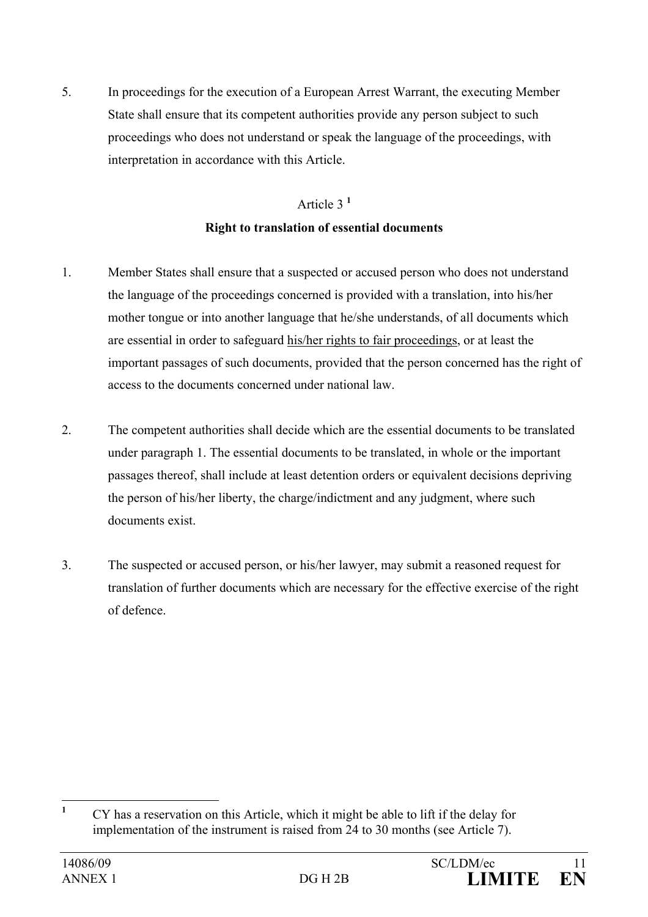5. In proceedings for the execution of a European Arrest Warrant, the executing Member State shall ensure that its competent authorities provide any person subject to such proceedings who does not understand or speak the language of the proceedings, with interpretation in accordance with this Article.

# Article 3 **<sup>1</sup>**

## **Right to translation of essential documents**

- 1. Member States shall ensure that a suspected or accused person who does not understand the language of the proceedings concerned is provided with a translation, into his/her mother tongue or into another language that he/she understands, of all documents which are essential in order to safeguard his/her rights to fair proceedings, or at least the important passages of such documents, provided that the person concerned has the right of access to the documents concerned under national law.
- 2. The competent authorities shall decide which are the essential documents to be translated under paragraph 1. The essential documents to be translated, in whole or the important passages thereof, shall include at least detention orders or equivalent decisions depriving the person of his/her liberty, the charge/indictment and any judgment, where such documents exist.
- 3. The suspected or accused person, or his/her lawyer, may submit a reasoned request for translation of further documents which are necessary for the effective exercise of the right of defence.

 **1** CY has a reservation on this Article, which it might be able to lift if the delay for implementation of the instrument is raised from 24 to 30 months (see Article 7).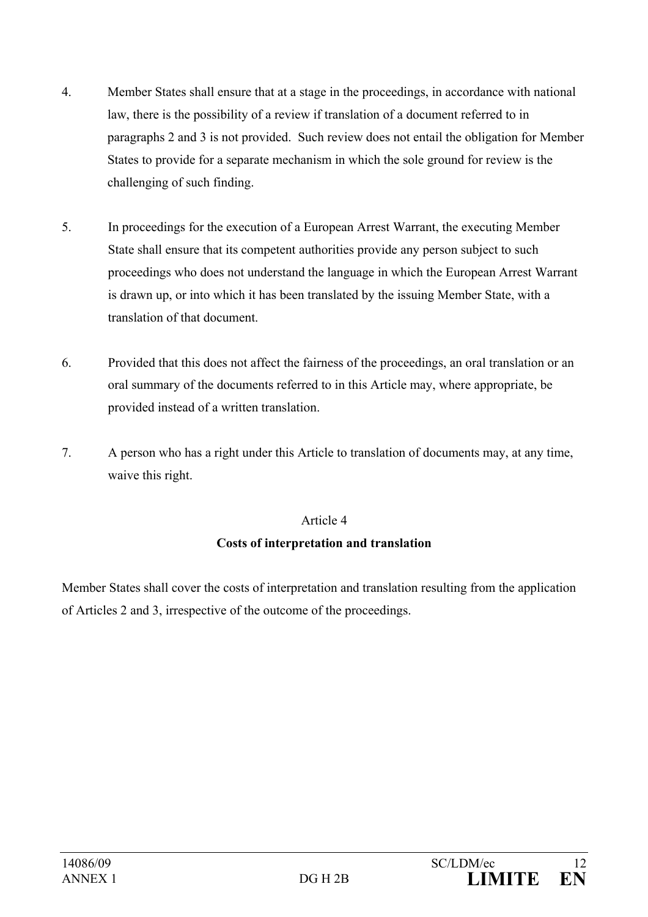- 4. Member States shall ensure that at a stage in the proceedings, in accordance with national law, there is the possibility of a review if translation of a document referred to in paragraphs 2 and 3 is not provided. Such review does not entail the obligation for Member States to provide for a separate mechanism in which the sole ground for review is the challenging of such finding.
- 5. In proceedings for the execution of a European Arrest Warrant, the executing Member State shall ensure that its competent authorities provide any person subject to such proceedings who does not understand the language in which the European Arrest Warrant is drawn up, or into which it has been translated by the issuing Member State, with a translation of that document.
- 6. Provided that this does not affect the fairness of the proceedings, an oral translation or an oral summary of the documents referred to in this Article may, where appropriate, be provided instead of a written translation.
- 7. A person who has a right under this Article to translation of documents may, at any time, waive this right.

# **Costs of interpretation and translation**

Member States shall cover the costs of interpretation and translation resulting from the application of Articles 2 and 3, irrespective of the outcome of the proceedings.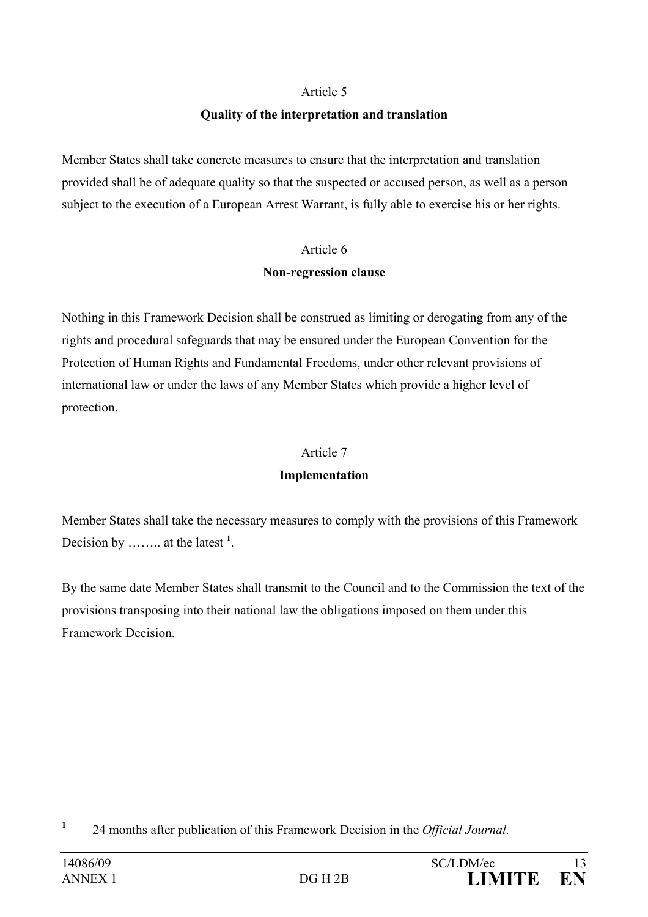## **Quality of the interpretation and translation**

Member States shall take concrete measures to ensure that the interpretation and translation provided shall be of adequate quality so that the suspected or accused person, as well as a person subject to the execution of a European Arrest Warrant, is fully able to exercise his or her rights.

# Article 6 **Non-regression clause**

Nothing in this Framework Decision shall be construed as limiting or derogating from any of the rights and procedural safeguards that may be ensured under the European Convention for the Protection of Human Rights and Fundamental Freedoms, under other relevant provisions of international law or under the laws of any Member States which provide a higher level of protection.

## Article 7

# **Implementation**

Member States shall take the necessary measures to comply with the provisions of this Framework Decision by …….. at the latest **<sup>1</sup>** .

By the same date Member States shall transmit to the Council and to the Commission the text of the provisions transposing into their national law the obligations imposed on them under this Framework Decision.

 **1** 24 months after publication of this Framework Decision in the *Official Journal.*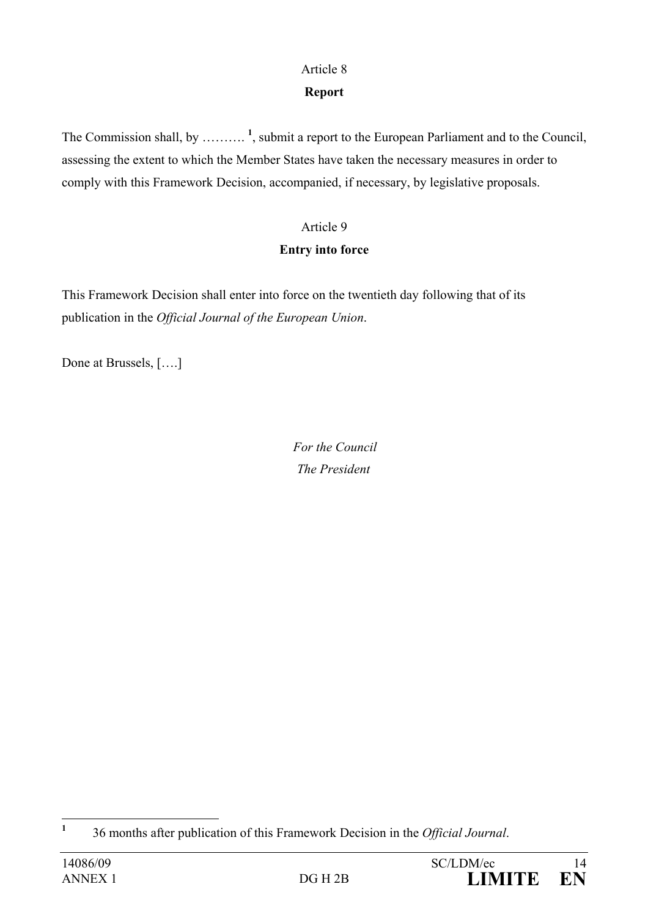# **Report**

The Commission shall, by ……….<sup>1</sup>, submit a report to the European Parliament and to the Council, assessing the extent to which the Member States have taken the necessary measures in order to comply with this Framework Decision, accompanied, if necessary, by legislative proposals.

# Article 9

# **Entry into force**

This Framework Decision shall enter into force on the twentieth day following that of its publication in the *Official Journal of the European Union*.

Done at Brussels, [….]

 *For the Council The President* 

 **1** 36 months after publication of this Framework Decision in the *Official Journal*.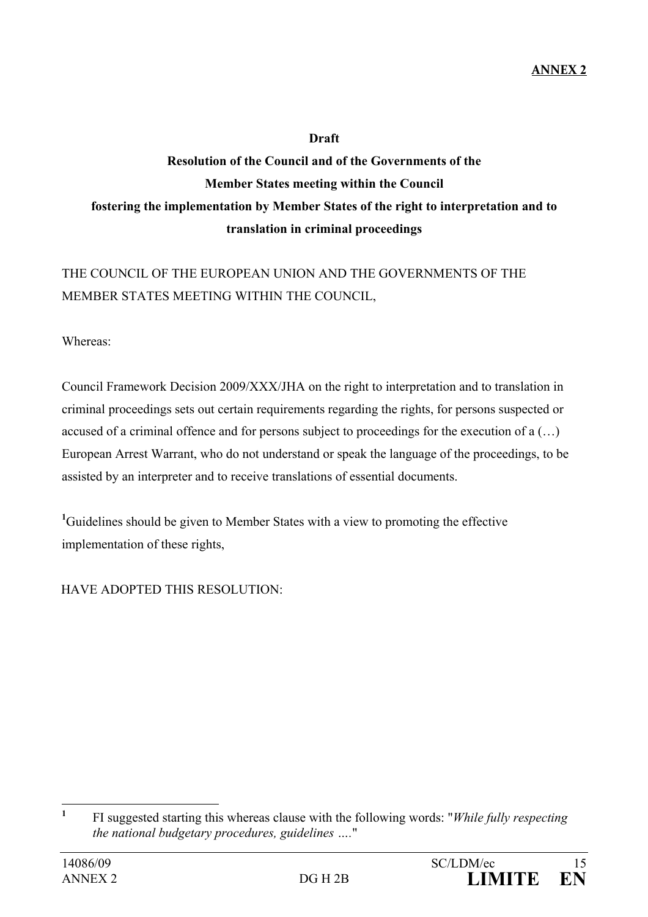## **Draft**

# **Resolution of the Council and of the Governments of the Member States meeting within the Council fostering the implementation by Member States of the right to interpretation and to translation in criminal proceedings**

# THE COUNCIL OF THE EUROPEAN UNION AND THE GOVERNMENTS OF THE MEMBER STATES MEETING WITHIN THE COUNCIL,

Whereas:

Council Framework Decision 2009/XXX/JHA on the right to interpretation and to translation in criminal proceedings sets out certain requirements regarding the rights, for persons suspected or accused of a criminal offence and for persons subject to proceedings for the execution of a (…) European Arrest Warrant, who do not understand or speak the language of the proceedings, to be assisted by an interpreter and to receive translations of essential documents.

<sup>1</sup>Guidelines should be given to Member States with a view to promoting the effective implementation of these rights,

HAVE ADOPTED THIS RESOLUTION:

 **1** FI suggested starting this whereas clause with the following words: "*While fully respecting the national budgetary procedures, guidelines ….*"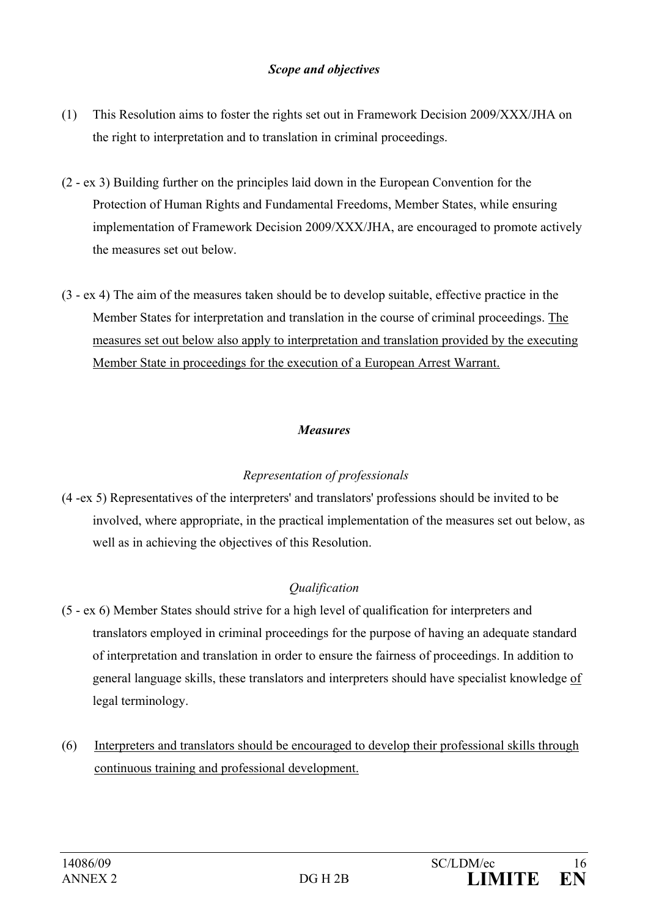#### *Scope and objectives*

- (1) This Resolution aims to foster the rights set out in Framework Decision 2009/XXX/JHA on the right to interpretation and to translation in criminal proceedings.
- (2 ex 3) Building further on the principles laid down in the European Convention for the Protection of Human Rights and Fundamental Freedoms, Member States, while ensuring implementation of Framework Decision 2009/XXX/JHA, are encouraged to promote actively the measures set out below.
- (3 ex 4) The aim of the measures taken should be to develop suitable, effective practice in the Member States for interpretation and translation in the course of criminal proceedings. The measures set out below also apply to interpretation and translation provided by the executing Member State in proceedings for the execution of a European Arrest Warrant.

## *Measures*

#### *Representation of professionals*

(4 -ex 5) Representatives of the interpreters' and translators' professions should be invited to be involved, where appropriate, in the practical implementation of the measures set out below, as well as in achieving the objectives of this Resolution.

# *Qualification*

- (5 ex 6) Member States should strive for a high level of qualification for interpreters and translators employed in criminal proceedings for the purpose of having an adequate standard of interpretation and translation in order to ensure the fairness of proceedings. In addition to general language skills, these translators and interpreters should have specialist knowledge of legal terminology.
- (6)Interpreters and translators should be encouraged to develop their professional skills through continuous training and professional development.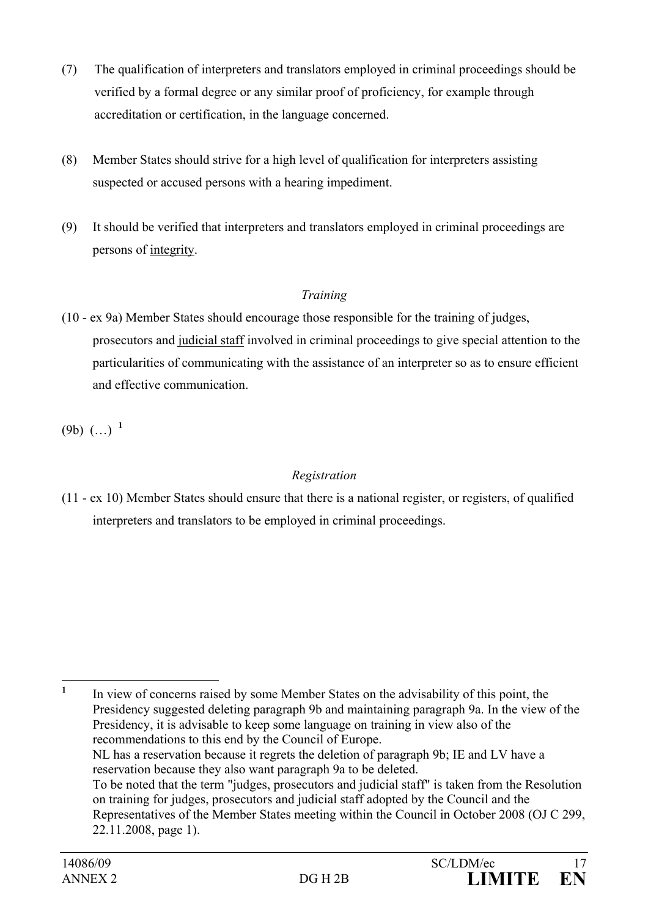- (7) The qualification of interpreters and translators employed in criminal proceedings should be verified by a formal degree or any similar proof of proficiency, for example through accreditation or certification, in the language concerned.
- (8) Member States should strive for a high level of qualification for interpreters assisting suspected or accused persons with a hearing impediment.
- (9) It should be verified that interpreters and translators employed in criminal proceedings are persons of integrity.

# *Training*

(10 - ex 9a) Member States should encourage those responsible for the training of judges, prosecutors and judicial staff involved in criminal proceedings to give special attention to the particularities of communicating with the assistance of an interpreter so as to ensure efficient and effective communication.

(9b) (…) **<sup>1</sup>**

# *Registration*

(11 - ex 10) Member States should ensure that there is a national register, or registers, of qualified interpreters and translators to be employed in criminal proceedings.

 **1** In view of concerns raised by some Member States on the advisability of this point, the Presidency suggested deleting paragraph 9b and maintaining paragraph 9a. In the view of the Presidency, it is advisable to keep some language on training in view also of the recommendations to this end by the Council of Europe. NL has a reservation because it regrets the deletion of paragraph 9b; IE and LV have a

reservation because they also want paragraph 9a to be deleted.

To be noted that the term "judges, prosecutors and judicial staff" is taken from the Resolution on training for judges, prosecutors and judicial staff adopted by the Council and the Representatives of the Member States meeting within the Council in October 2008 (OJ C 299, 22.11.2008, page 1).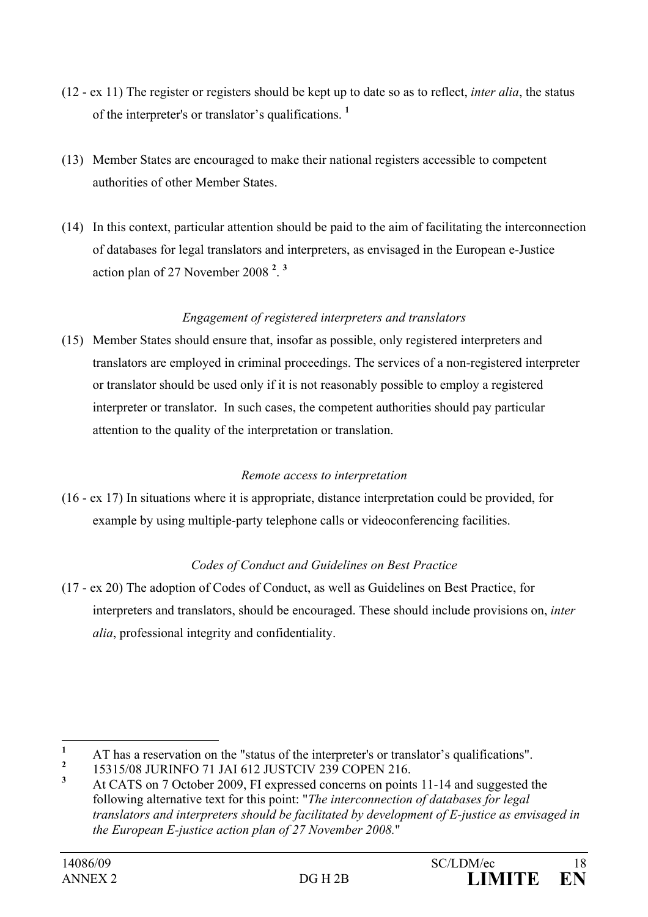- (12 ex 11) The register or registers should be kept up to date so as to reflect, *inter alia*, the status of the interpreter's or translator's qualifications. **<sup>1</sup>**
- (13) Member States are encouraged to make their national registers accessible to competent authorities of other Member States.
- (14) In this context, particular attention should be paid to the aim of facilitating the interconnection of databases for legal translators and interpreters, as envisaged in the European e-Justice action plan of 27 November 2008 **<sup>2</sup>** . **3**

# *Engagement of registered interpreters and translators*

(15) Member States should ensure that, insofar as possible, only registered interpreters and translators are employed in criminal proceedings. The services of a non-registered interpreter or translator should be used only if it is not reasonably possible to employ a registered interpreter or translator. In such cases, the competent authorities should pay particular attention to the quality of the interpretation or translation.

#### *Remote access to interpretation*

(16 - ex 17) In situations where it is appropriate, distance interpretation could be provided, for example by using multiple-party telephone calls or videoconferencing facilities.

# *Codes of Conduct and Guidelines on Best Practice*

(17 - ex 20) The adoption of Codes of Conduct, as well as Guidelines on Best Practice, for interpreters and translators, should be encouraged. These should include provisions on, *inter alia*, professional integrity and confidentiality.

 **1** AT has a reservation on the "status of the interpreter's or translator's qualifications".

**<sup>2</sup>** 15315/08 JURINFO 71 JAI 612 JUSTCIV 239 COPEN 216.

**<sup>3</sup>** At CATS on 7 October 2009, FI expressed concerns on points 11-14 and suggested the following alternative text for this point: "*The interconnection of databases for legal translators and interpreters should be facilitated by development of E-justice as envisaged in the European E-justice action plan of 27 November 2008.*"